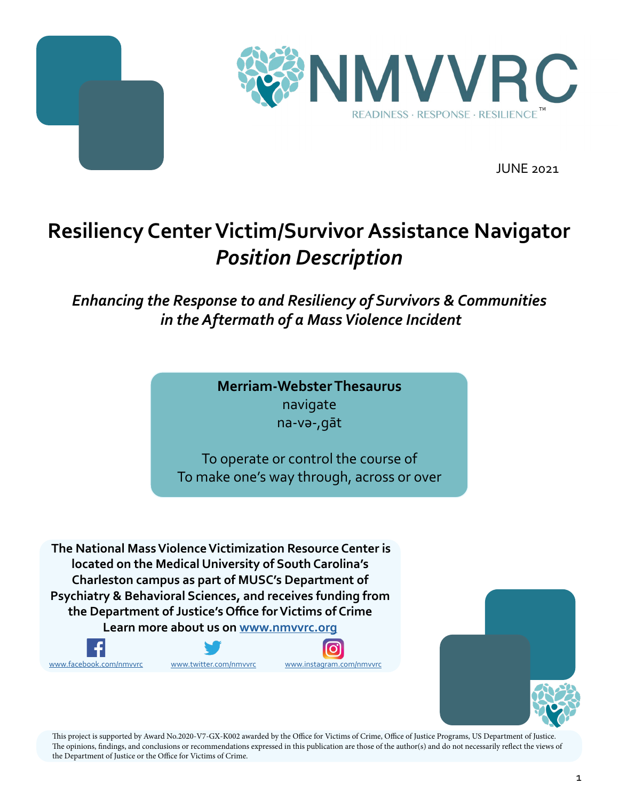



JUNE 2021

# **Resiliency Center Victim/Survivor Assistance Navigator** *Position Description*

### *Enhancing the Response to and Resiliency of Survivors & Communities in the Aftermath of a Mass Violence Incident*

**Merriam-Webster Thesaurus** navigate na-və-,gāt

To operate or control the course of To make one's way through, across or over

 **The National Mass Violence Victimization Resource Center is located on the Medical University of South Carolina's Charleston campus as part of MUSC's Department of Psychiatry & Behavioral Sciences, and receives funding from the Department of Justice's Office for Victims of Crime** 

**Learn more about us on www.nmvvrc.org**











This project is supported by Award No.2020-V7-GX-K002 awarded by the Office for Victims of Crime, Office of Justice Programs, US Department of Justice. The opinions, findings, and conclusions or recommendations expressed in this publication are those of the author(s) and do not necessarily reflect the views of the Department of Justice or the Office for Victims of Crime.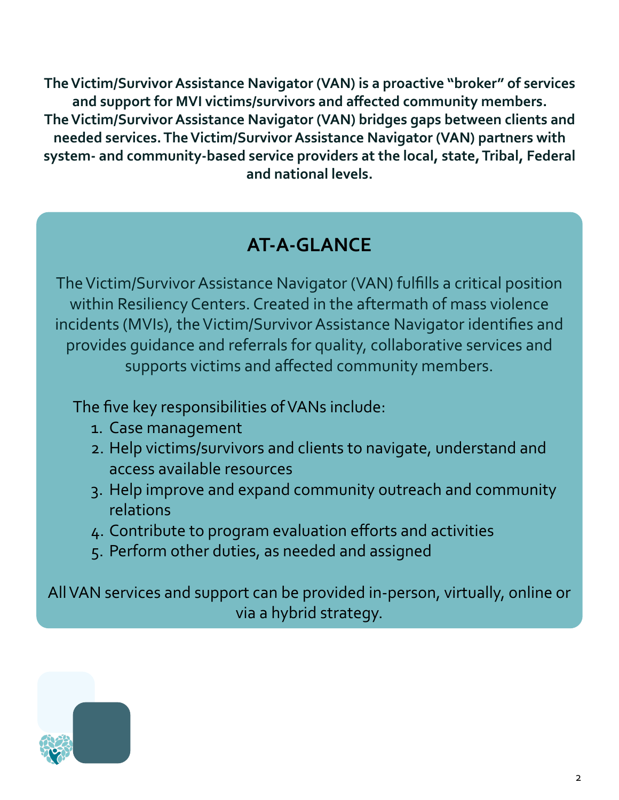**The Victim/Survivor Assistance Navigator (VAN) is a proactive "broker" of services and support for MVI victims/survivors and affected community members. The Victim/Survivor Assistance Navigator (VAN) bridges gaps between clients and needed services. The Victim/Survivor Assistance Navigator (VAN) partners with system- and community-based service providers at the local, state, Tribal, Federal and national levels.** 

## **AT-A-GLANCE**

The Victim/Survivor Assistance Navigator (VAN) fulfills a critical position within Resiliency Centers. Created in the aftermath of mass violence incidents (MVIs), the Victim/Survivor Assistance Navigator identifies and provides guidance and referrals for quality, collaborative services and supports victims and affected community members.

The five key responsibilities of VANs include:

- 1. Case management
- 2. Help victims/survivors and clients to navigate, understand and access available resources
- 3. Help improve and expand community outreach and community relations
- 4. Contribute to program evaluation efforts and activities
- 5. Perform other duties, as needed and assigned

All VAN services and support can be provided in-person, virtually, online or via a hybrid strategy.

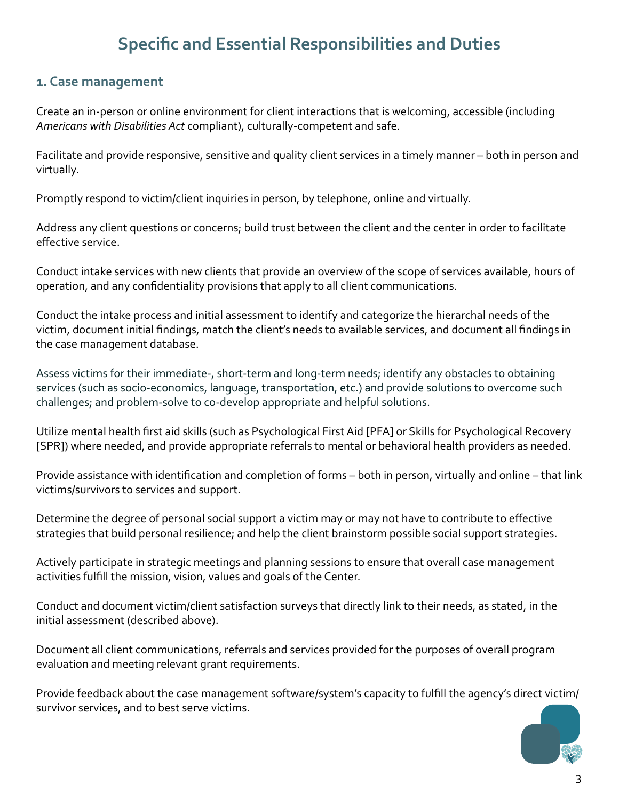### **Specific and Essential Responsibilities and Duties**

#### **1. Case management**

Create an in-person or online environment for client interactions that is welcoming, accessible (including *Americans with Disabilities Act* compliant), culturally-competent and safe.

Facilitate and provide responsive, sensitive and quality client services in a timely manner – both in person and virtually.

Promptly respond to victim/client inquiries in person, by telephone, online and virtually.

Address any client questions or concerns; build trust between the client and the center in order to facilitate effective service.

Conduct intake services with new clients that provide an overview of the scope of services available, hours of operation, and any confidentiality provisions that apply to all client communications.

Conduct the intake process and initial assessment to identify and categorize the hierarchal needs of the victim, document initial findings, match the client's needs to available services, and document all findings in the case management database.

Assess victims for their immediate-, short-term and long-term needs; identify any obstacles to obtaining services (such as socio-economics, language, transportation, etc.) and provide solutions to overcome such challenges; and problem-solve to co-develop appropriate and helpful solutions.

Utilize mental health first aid skills (such as Psychological First Aid [PFA] or Skills for Psychological Recovery [SPR]) where needed, and provide appropriate referrals to mental or behavioral health providers as needed.

Provide assistance with identification and completion of forms – both in person, virtually and online – that link victims/survivors to services and support.

Determine the degree of personal social support a victim may or may not have to contribute to effective strategies that build personal resilience; and help the client brainstorm possible social support strategies.

Actively participate in strategic meetings and planning sessions to ensure that overall case management activities fulfill the mission, vision, values and goals of the Center.

Conduct and document victim/client satisfaction surveys that directly link to their needs, as stated, in the initial assessment (described above).

Document all client communications, referrals and services provided for the purposes of overall program evaluation and meeting relevant grant requirements.

Provide feedback about the case management software/system's capacity to fulfill the agency's direct victim/ survivor services, and to best serve victims.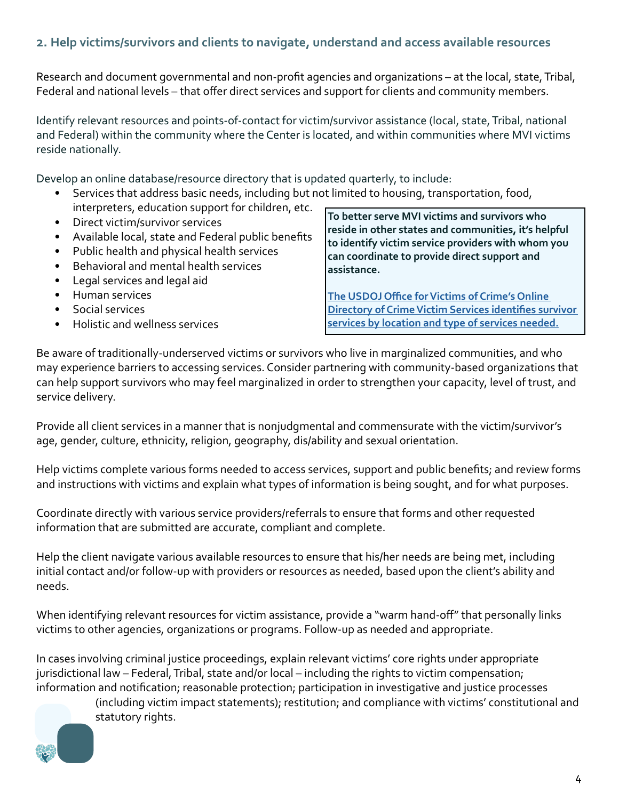#### **2. Help victims/survivors and clients to navigate, understand and access available resources**

Research and document governmental and non-profit agencies and organizations – at the local, state, Tribal, Federal and national levels – that offer direct services and support for clients and community members.

Identify relevant resources and points-of-contact for victim/survivor assistance (local, state, Tribal, national and Federal) within the community where the Center is located, and within communities where MVI victims reside nationally.

Develop an online database/resource directory that is updated quarterly, to include:

- Services that address basic needs, including but not limited to housing, transportation, food, interpreters, education support for children, etc.
- Direct victim/survivor services
- Available local, state and Federal public benefits
- Public health and physical health services
- Behavioral and mental health services
- Legal services and legal aid
- Human services
- Social services
- Holistic and wellness services

**To better serve MVI victims and survivors who reside in other states and communities, it's helpful to identify victim service providers with whom you can coordinate to provide direct support and assistance.** 

**[The USDOJ Office for Victims of Crime's Online](https://ovc.ojp.gov/directory-crime-victim-services.
)  [Directory of Crime Victim Services identifies survivor](https://ovc.ojp.gov/directory-crime-victim-services.
)  [services by location and type of services needed.](https://ovc.ojp.gov/directory-crime-victim-services.
)**

Be aware of traditionally-underserved victims or survivors who live in marginalized communities, and who may experience barriers to accessing services. Consider partnering with community-based organizations that can help support survivors who may feel marginalized in order to strengthen your capacity, level of trust, and service delivery.

Provide all client services in a manner that is nonjudgmental and commensurate with the victim/survivor's age, gender, culture, ethnicity, religion, geography, dis/ability and sexual orientation.

Help victims complete various forms needed to access services, support and public benefits; and review forms and instructions with victims and explain what types of information is being sought, and for what purposes.

Coordinate directly with various service providers/referrals to ensure that forms and other requested information that are submitted are accurate, compliant and complete.

Help the client navigate various available resources to ensure that his/her needs are being met, including initial contact and/or follow-up with providers or resources as needed, based upon the client's ability and needs.

When identifying relevant resources for victim assistance, provide a "warm hand-off" that personally links victims to other agencies, organizations or programs. Follow-up as needed and appropriate.

In cases involving criminal justice proceedings, explain relevant victims' core rights under appropriate jurisdictional law – Federal, Tribal, state and/or local – including the rights to victim compensation; information and notification; reasonable protection; participation in investigative and justice processes

> (including victim impact statements); restitution; and compliance with victims' constitutional and statutory rights.

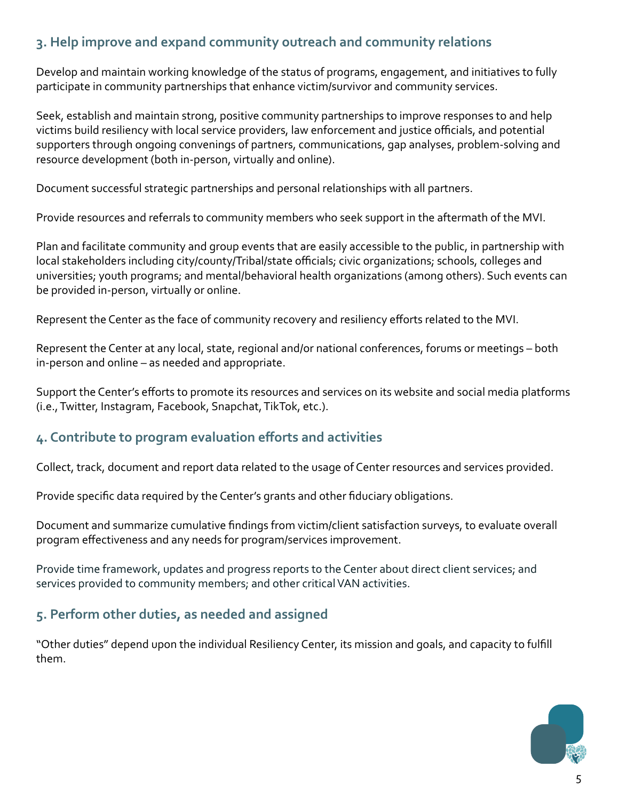#### **3. Help improve and expand community outreach and community relations**

Develop and maintain working knowledge of the status of programs, engagement, and initiatives to fully participate in community partnerships that enhance victim/survivor and community services.

Seek, establish and maintain strong, positive community partnerships to improve responses to and help victims build resiliency with local service providers, law enforcement and justice officials, and potential supporters through ongoing convenings of partners, communications, gap analyses, problem-solving and resource development (both in-person, virtually and online).

Document successful strategic partnerships and personal relationships with all partners.

Provide resources and referrals to community members who seek support in the aftermath of the MVI.

Plan and facilitate community and group events that are easily accessible to the public, in partnership with local stakeholders including city/county/Tribal/state officials; civic organizations; schools, colleges and universities; youth programs; and mental/behavioral health organizations (among others). Such events can be provided in-person, virtually or online.

Represent the Center as the face of community recovery and resiliency efforts related to the MVI.

Represent the Center at any local, state, regional and/or national conferences, forums or meetings – both in-person and online – as needed and appropriate.

Support the Center's efforts to promote its resources and services on its website and social media platforms (i.e., Twitter, Instagram, Facebook, Snapchat, TikTok, etc.).

#### **4. Contribute to program evaluation efforts and activities**

Collect, track, document and report data related to the usage of Center resources and services provided.

Provide specific data required by the Center's grants and other fiduciary obligations.

Document and summarize cumulative findings from victim/client satisfaction surveys, to evaluate overall program effectiveness and any needs for program/services improvement.

Provide time framework, updates and progress reports to the Center about direct client services; and services provided to community members; and other critical VAN activities.

#### **5. Perform other duties, as needed and assigned**

"Other duties" depend upon the individual Resiliency Center, its mission and goals, and capacity to fulfill them.

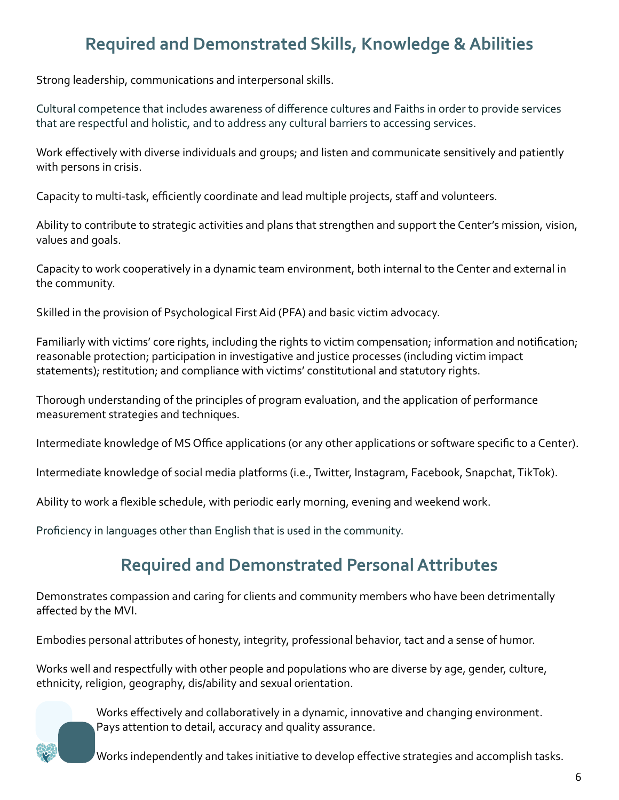## **Required and Demonstrated Skills, Knowledge & Abilities**

Strong leadership, communications and interpersonal skills.

Cultural competence that includes awareness of difference cultures and Faiths in order to provide services that are respectful and holistic, and to address any cultural barriers to accessing services.

Work effectively with diverse individuals and groups; and listen and communicate sensitively and patiently with persons in crisis.

Capacity to multi-task, efficiently coordinate and lead multiple projects, staff and volunteers.

Ability to contribute to strategic activities and plans that strengthen and support the Center's mission, vision, values and goals.

Capacity to work cooperatively in a dynamic team environment, both internal to the Center and external in the community.

Skilled in the provision of Psychological First Aid (PFA) and basic victim advocacy.

Familiarly with victims' core rights, including the rights to victim compensation; information and notification; reasonable protection; participation in investigative and justice processes (including victim impact statements); restitution; and compliance with victims' constitutional and statutory rights.

Thorough understanding of the principles of program evaluation, and the application of performance measurement strategies and techniques.

Intermediate knowledge of MS Office applications (or any other applications or software specific to a Center).

Intermediate knowledge of social media platforms (i.e., Twitter, Instagram, Facebook, Snapchat, TikTok).

Ability to work a flexible schedule, with periodic early morning, evening and weekend work.

Proficiency in languages other than English that is used in the community.

### **Required and Demonstrated Personal Attributes**

Demonstrates compassion and caring for clients and community members who have been detrimentally affected by the MVI.

Embodies personal attributes of honesty, integrity, professional behavior, tact and a sense of humor.

Works well and respectfully with other people and populations who are diverse by age, gender, culture, ethnicity, religion, geography, dis/ability and sexual orientation.

> Works effectively and collaboratively in a dynamic, innovative and changing environment. Pays attention to detail, accuracy and quality assurance.

Works independently and takes initiative to develop effective strategies and accomplish tasks.